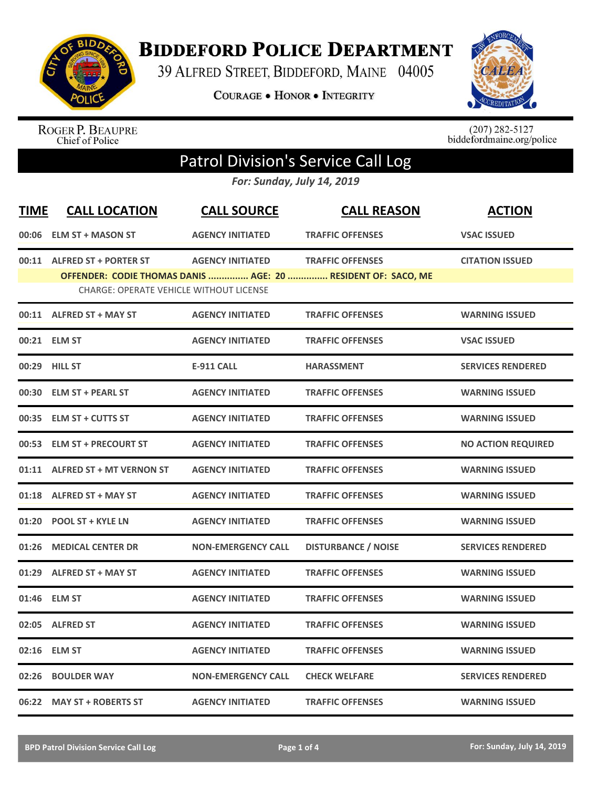

## **BIDDEFORD POLICE DEPARTMENT**

39 ALFRED STREET, BIDDEFORD, MAINE 04005

**COURAGE . HONOR . INTEGRITY** 



ROGER P. BEAUPRE<br>Chief of Police

 $(207)$  282-5127<br>biddefordmaine.org/police

## Patrol Division's Service Call Log

*For: Sunday, July 14, 2019*

| <b>TIME</b> | <b>CALL LOCATION</b>                           | <b>CALL SOURCE</b>        | <b>CALL REASON</b>                                           | <b>ACTION</b>             |
|-------------|------------------------------------------------|---------------------------|--------------------------------------------------------------|---------------------------|
| 00:06       | <b>ELM ST + MASON ST</b>                       | <b>AGENCY INITIATED</b>   | <b>TRAFFIC OFFENSES</b>                                      | <b>VSAC ISSUED</b>        |
|             | 00:11 ALFRED ST + PORTER ST                    | <b>AGENCY INITIATED</b>   | <b>TRAFFIC OFFENSES</b>                                      | <b>CITATION ISSUED</b>    |
|             | <b>CHARGE: OPERATE VEHICLE WITHOUT LICENSE</b> |                           | OFFENDER: CODIE THOMAS DANIS  AGE: 20  RESIDENT OF: SACO, ME |                           |
|             | 00:11 ALFRED ST + MAY ST                       | <b>AGENCY INITIATED</b>   | <b>TRAFFIC OFFENSES</b>                                      | <b>WARNING ISSUED</b>     |
|             | 00:21 ELM ST                                   | <b>AGENCY INITIATED</b>   | <b>TRAFFIC OFFENSES</b>                                      | <b>VSAC ISSUED</b>        |
|             | 00:29 HILL ST                                  | <b>E-911 CALL</b>         | <b>HARASSMENT</b>                                            | <b>SERVICES RENDERED</b>  |
| 00:30       | <b>ELM ST + PEARL ST</b>                       | <b>AGENCY INITIATED</b>   | <b>TRAFFIC OFFENSES</b>                                      | <b>WARNING ISSUED</b>     |
|             | 00:35 ELM ST + CUTTS ST                        | <b>AGENCY INITIATED</b>   | <b>TRAFFIC OFFENSES</b>                                      | <b>WARNING ISSUED</b>     |
|             | 00:53 ELM ST + PRECOURT ST                     | <b>AGENCY INITIATED</b>   | <b>TRAFFIC OFFENSES</b>                                      | <b>NO ACTION REQUIRED</b> |
|             | 01:11 ALFRED ST + MT VERNON ST                 | <b>AGENCY INITIATED</b>   | <b>TRAFFIC OFFENSES</b>                                      | <b>WARNING ISSUED</b>     |
|             | 01:18 ALFRED ST + MAY ST                       | <b>AGENCY INITIATED</b>   | <b>TRAFFIC OFFENSES</b>                                      | <b>WARNING ISSUED</b>     |
| 01:20       | <b>POOL ST + KYLE LN</b>                       | <b>AGENCY INITIATED</b>   | <b>TRAFFIC OFFENSES</b>                                      | <b>WARNING ISSUED</b>     |
|             | 01:26 MEDICAL CENTER DR                        | <b>NON-EMERGENCY CALL</b> | <b>DISTURBANCE / NOISE</b>                                   | <b>SERVICES RENDERED</b>  |
|             | 01:29 ALFRED ST + MAY ST                       | <b>AGENCY INITIATED</b>   | <b>TRAFFIC OFFENSES</b>                                      | <b>WARNING ISSUED</b>     |
|             | 01:46 ELM ST                                   | <b>AGENCY INITIATED</b>   | <b>TRAFFIC OFFENSES</b>                                      | <b>WARNING ISSUED</b>     |
|             | 02:05 ALFRED ST                                | <b>AGENCY INITIATED</b>   | <b>TRAFFIC OFFENSES</b>                                      | <b>WARNING ISSUED</b>     |
| 02:16       | <b>ELM ST</b>                                  | <b>AGENCY INITIATED</b>   | <b>TRAFFIC OFFENSES</b>                                      | <b>WARNING ISSUED</b>     |
| 02:26       | <b>BOULDER WAY</b>                             | <b>NON-EMERGENCY CALL</b> | <b>CHECK WELFARE</b>                                         | <b>SERVICES RENDERED</b>  |
|             | 06:22 MAY ST + ROBERTS ST                      | <b>AGENCY INITIATED</b>   | <b>TRAFFIC OFFENSES</b>                                      | <b>WARNING ISSUED</b>     |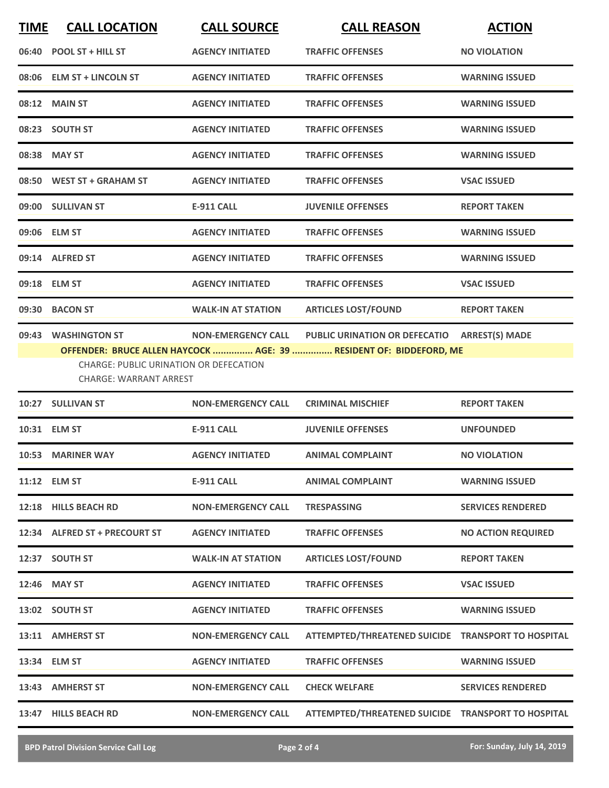| <b>TIME</b> | <b>CALL LOCATION</b>                                                                           | <b>CALL SOURCE</b>        | <b>CALL REASON</b>                                                                                         | <b>ACTION</b>             |
|-------------|------------------------------------------------------------------------------------------------|---------------------------|------------------------------------------------------------------------------------------------------------|---------------------------|
| 06:40       | <b>POOL ST + HILL ST</b>                                                                       | <b>AGENCY INITIATED</b>   | <b>TRAFFIC OFFENSES</b>                                                                                    | <b>NO VIOLATION</b>       |
|             | 08:06 ELM ST + LINCOLN ST                                                                      | <b>AGENCY INITIATED</b>   | <b>TRAFFIC OFFENSES</b>                                                                                    | <b>WARNING ISSUED</b>     |
|             | 08:12 MAIN ST                                                                                  | <b>AGENCY INITIATED</b>   | <b>TRAFFIC OFFENSES</b>                                                                                    | <b>WARNING ISSUED</b>     |
|             | 08:23 SOUTH ST                                                                                 | <b>AGENCY INITIATED</b>   | <b>TRAFFIC OFFENSES</b>                                                                                    | <b>WARNING ISSUED</b>     |
|             | 08:38 MAY ST                                                                                   | <b>AGENCY INITIATED</b>   | <b>TRAFFIC OFFENSES</b>                                                                                    | <b>WARNING ISSUED</b>     |
|             | 08:50 WEST ST + GRAHAM ST                                                                      | <b>AGENCY INITIATED</b>   | <b>TRAFFIC OFFENSES</b>                                                                                    | <b>VSAC ISSUED</b>        |
|             | 09:00 SULLIVAN ST                                                                              | <b>E-911 CALL</b>         | <b>JUVENILE OFFENSES</b>                                                                                   | <b>REPORT TAKEN</b>       |
|             | 09:06 ELM ST                                                                                   | <b>AGENCY INITIATED</b>   | <b>TRAFFIC OFFENSES</b>                                                                                    | <b>WARNING ISSUED</b>     |
|             | 09:14 ALFRED ST                                                                                | <b>AGENCY INITIATED</b>   | <b>TRAFFIC OFFENSES</b>                                                                                    | <b>WARNING ISSUED</b>     |
|             | 09:18 ELM ST                                                                                   | <b>AGENCY INITIATED</b>   | <b>TRAFFIC OFFENSES</b>                                                                                    | <b>VSAC ISSUED</b>        |
|             | 09:30 BACON ST                                                                                 | <b>WALK-IN AT STATION</b> | <b>ARTICLES LOST/FOUND</b>                                                                                 | <b>REPORT TAKEN</b>       |
|             | 09:43 WASHINGTON ST<br>CHARGE: PUBLIC URINATION OR DEFECATION<br><b>CHARGE: WARRANT ARREST</b> | <b>NON-EMERGENCY CALL</b> | <b>PUBLIC URINATION OR DEFECATIO</b><br>OFFENDER: BRUCE ALLEN HAYCOCK  AGE: 39  RESIDENT OF: BIDDEFORD, ME | <b>ARREST(S) MADE</b>     |
|             | 10:27 SULLIVAN ST                                                                              | <b>NON-EMERGENCY CALL</b> | <b>CRIMINAL MISCHIEF</b>                                                                                   | <b>REPORT TAKEN</b>       |
|             | 10:31 ELM ST                                                                                   | <b>E-911 CALL</b>         | <b>JUVENILE OFFENSES</b>                                                                                   | <b>UNFOUNDED</b>          |
|             | 10:53 MARINER WAY                                                                              | <b>AGENCY INITIATED</b>   | <b>ANIMAL COMPLAINT</b>                                                                                    | <b>NO VIOLATION</b>       |
|             | 11:12 ELM ST                                                                                   | E-911 CALL                | <b>ANIMAL COMPLAINT</b>                                                                                    | <b>WARNING ISSUED</b>     |
|             | 12:18 HILLS BEACH RD                                                                           | <b>NON-EMERGENCY CALL</b> | <b>TRESPASSING</b>                                                                                         | <b>SERVICES RENDERED</b>  |
|             | 12:34 ALFRED ST + PRECOURT ST                                                                  | <b>AGENCY INITIATED</b>   | <b>TRAFFIC OFFENSES</b>                                                                                    | <b>NO ACTION REQUIRED</b> |
|             | 12:37 SOUTH ST                                                                                 | <b>WALK-IN AT STATION</b> | <b>ARTICLES LOST/FOUND</b>                                                                                 | <b>REPORT TAKEN</b>       |
|             | 12:46 MAY ST                                                                                   | <b>AGENCY INITIATED</b>   | <b>TRAFFIC OFFENSES</b>                                                                                    | <b>VSAC ISSUED</b>        |
|             | 13:02 SOUTH ST                                                                                 | <b>AGENCY INITIATED</b>   | <b>TRAFFIC OFFENSES</b>                                                                                    | <b>WARNING ISSUED</b>     |
|             | 13:11 AMHERST ST                                                                               | <b>NON-EMERGENCY CALL</b> | ATTEMPTED/THREATENED SUICIDE TRANSPORT TO HOSPITAL                                                         |                           |
|             | 13:34 ELM ST                                                                                   | <b>AGENCY INITIATED</b>   | <b>TRAFFIC OFFENSES</b>                                                                                    | <b>WARNING ISSUED</b>     |
|             | 13:43 AMHERST ST                                                                               | <b>NON-EMERGENCY CALL</b> | <b>CHECK WELFARE</b>                                                                                       | <b>SERVICES RENDERED</b>  |
|             | 13:47 HILLS BEACH RD                                                                           | <b>NON-EMERGENCY CALL</b> | ATTEMPTED/THREATENED SUICIDE TRANSPORT TO HOSPITAL                                                         |                           |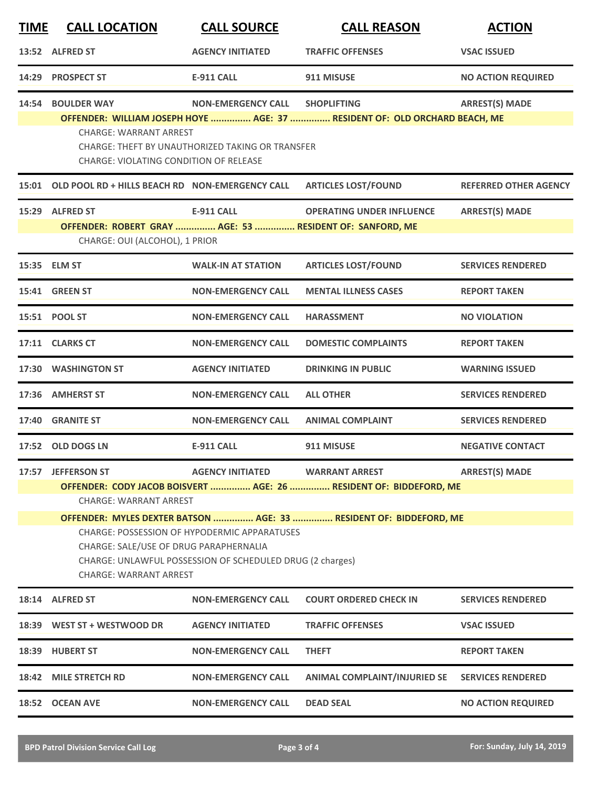| <b>TIME</b> | <b>CALL LOCATION</b>                                                                                                                                                                                                                                                                                                                                                                                                                                                 | <b>CALL SOURCE</b>                                                            | <b>CALL REASON</b>                                                                               | <b>ACTION</b>                |  |
|-------------|----------------------------------------------------------------------------------------------------------------------------------------------------------------------------------------------------------------------------------------------------------------------------------------------------------------------------------------------------------------------------------------------------------------------------------------------------------------------|-------------------------------------------------------------------------------|--------------------------------------------------------------------------------------------------|------------------------------|--|
|             | 13:52 ALFRED ST                                                                                                                                                                                                                                                                                                                                                                                                                                                      | <b>AGENCY INITIATED</b>                                                       | <b>TRAFFIC OFFENSES</b>                                                                          | <b>VSAC ISSUED</b>           |  |
|             | 14:29 PROSPECT ST                                                                                                                                                                                                                                                                                                                                                                                                                                                    | <b>E-911 CALL</b>                                                             | 911 MISUSE                                                                                       | <b>NO ACTION REQUIRED</b>    |  |
|             | 14:54 BOULDER WAY<br><b>CHARGE: WARRANT ARREST</b><br><b>CHARGE: VIOLATING CONDITION OF RELEASE</b>                                                                                                                                                                                                                                                                                                                                                                  | <b>NON-EMERGENCY CALL</b><br>CHARGE: THEFT BY UNAUTHORIZED TAKING OR TRANSFER | <b>SHOPLIFTING</b><br>OFFENDER: WILLIAM JOSEPH HOYE  AGE: 37  RESIDENT OF: OLD ORCHARD BEACH, ME | <b>ARREST(S) MADE</b>        |  |
|             | 15:01 OLD POOL RD + HILLS BEACH RD NON-EMERGENCY CALL                                                                                                                                                                                                                                                                                                                                                                                                                |                                                                               | <b>ARTICLES LOST/FOUND</b>                                                                       | <b>REFERRED OTHER AGENCY</b> |  |
|             | 15:29 ALFRED ST<br>OFFENDER: ROBERT GRAY  AGE: 53  RESIDENT OF: SANFORD, ME<br>CHARGE: OUI (ALCOHOL), 1 PRIOR                                                                                                                                                                                                                                                                                                                                                        | <b>E-911 CALL</b>                                                             | <b>OPERATING UNDER INFLUENCE</b>                                                                 | <b>ARREST(S) MADE</b>        |  |
|             | 15:35 ELM ST                                                                                                                                                                                                                                                                                                                                                                                                                                                         | <b>WALK-IN AT STATION</b>                                                     | <b>ARTICLES LOST/FOUND</b>                                                                       | <b>SERVICES RENDERED</b>     |  |
|             | 15:41 GREEN ST                                                                                                                                                                                                                                                                                                                                                                                                                                                       | <b>NON-EMERGENCY CALL</b>                                                     | <b>MENTAL ILLNESS CASES</b>                                                                      | <b>REPORT TAKEN</b>          |  |
|             | 15:51 POOL ST                                                                                                                                                                                                                                                                                                                                                                                                                                                        | <b>NON-EMERGENCY CALL</b>                                                     | <b>HARASSMENT</b>                                                                                | <b>NO VIOLATION</b>          |  |
|             | 17:11 CLARKS CT                                                                                                                                                                                                                                                                                                                                                                                                                                                      | <b>NON-EMERGENCY CALL</b>                                                     | <b>DOMESTIC COMPLAINTS</b>                                                                       | <b>REPORT TAKEN</b>          |  |
|             | 17:30 WASHINGTON ST                                                                                                                                                                                                                                                                                                                                                                                                                                                  | <b>AGENCY INITIATED</b>                                                       | <b>DRINKING IN PUBLIC</b>                                                                        | <b>WARNING ISSUED</b>        |  |
|             | 17:36 AMHERST ST                                                                                                                                                                                                                                                                                                                                                                                                                                                     | <b>NON-EMERGENCY CALL</b>                                                     | <b>ALL OTHER</b>                                                                                 | <b>SERVICES RENDERED</b>     |  |
|             | 17:40 GRANITE ST                                                                                                                                                                                                                                                                                                                                                                                                                                                     | <b>NON-EMERGENCY CALL</b>                                                     | <b>ANIMAL COMPLAINT</b>                                                                          | <b>SERVICES RENDERED</b>     |  |
|             | 17:52 OLD DOGS LN                                                                                                                                                                                                                                                                                                                                                                                                                                                    | <b>E-911 CALL</b>                                                             | 911 MISUSE                                                                                       | <b>NEGATIVE CONTACT</b>      |  |
|             | 17:57 JEFFERSON ST<br><b>AGENCY INITIATED</b><br><b>WARRANT ARREST</b><br><b>ARREST(S) MADE</b><br>OFFENDER: CODY JACOB BOISVERT  AGE: 26  RESIDENT OF: BIDDEFORD, ME<br><b>CHARGE: WARRANT ARREST</b><br>OFFENDER: MYLES DEXTER BATSON  AGE: 33  RESIDENT OF: BIDDEFORD, ME<br><b>CHARGE: POSSESSION OF HYPODERMIC APPARATUSES</b><br>CHARGE: SALE/USE OF DRUG PARAPHERNALIA<br>CHARGE: UNLAWFUL POSSESSION OF SCHEDULED DRUG (2 charges)<br>CHARGE: WARRANT ARREST |                                                                               |                                                                                                  |                              |  |
|             | 18:14 ALFRED ST                                                                                                                                                                                                                                                                                                                                                                                                                                                      | <b>NON-EMERGENCY CALL</b>                                                     | <b>COURT ORDERED CHECK IN</b>                                                                    | <b>SERVICES RENDERED</b>     |  |
|             | 18:39 WEST ST + WESTWOOD DR                                                                                                                                                                                                                                                                                                                                                                                                                                          | <b>AGENCY INITIATED</b>                                                       | <b>TRAFFIC OFFENSES</b>                                                                          | <b>VSAC ISSUED</b>           |  |
|             | 18:39 HUBERT ST                                                                                                                                                                                                                                                                                                                                                                                                                                                      | <b>NON-EMERGENCY CALL</b>                                                     | <b>THEFT</b>                                                                                     | <b>REPORT TAKEN</b>          |  |
|             | 18:42 MILE STRETCH RD                                                                                                                                                                                                                                                                                                                                                                                                                                                | <b>NON-EMERGENCY CALL</b>                                                     | <b>ANIMAL COMPLAINT/INJURIED SE</b>                                                              | <b>SERVICES RENDERED</b>     |  |
|             | 18:52 OCEAN AVE                                                                                                                                                                                                                                                                                                                                                                                                                                                      | <b>NON-EMERGENCY CALL</b>                                                     | <b>DEAD SEAL</b>                                                                                 | <b>NO ACTION REQUIRED</b>    |  |